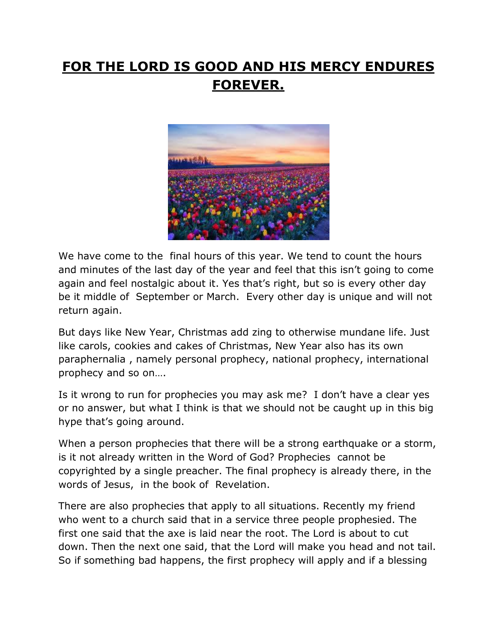## **FOR THE LORD IS GOOD AND HIS MERCY ENDURES FOREVER.**



We have come to the final hours of this year. We tend to count the hours and minutes of the last day of the year and feel that this isn't going to come again and feel nostalgic about it. Yes that's right, but so is every other day be it middle of September or March. Every other day is unique and will not return again.

But days like New Year, Christmas add zing to otherwise mundane life. Just like carols, cookies and cakes of Christmas, New Year also has its own paraphernalia , namely personal prophecy, national prophecy, international prophecy and so on….

Is it wrong to run for prophecies you may ask me? I don't have a clear yes or no answer, but what I think is that we should not be caught up in this big hype that's going around.

When a person prophecies that there will be a strong earthquake or a storm, is it not already written in the Word of God? Prophecies cannot be copyrighted by a single preacher. The final prophecy is already there, in the words of Jesus, in the book of Revelation.

There are also prophecies that apply to all situations. Recently my friend who went to a church said that in a service three people prophesied. The first one said that the axe is laid near the root. The Lord is about to cut down. Then the next one said, that the Lord will make you head and not tail. So if something bad happens, the first prophecy will apply and if a blessing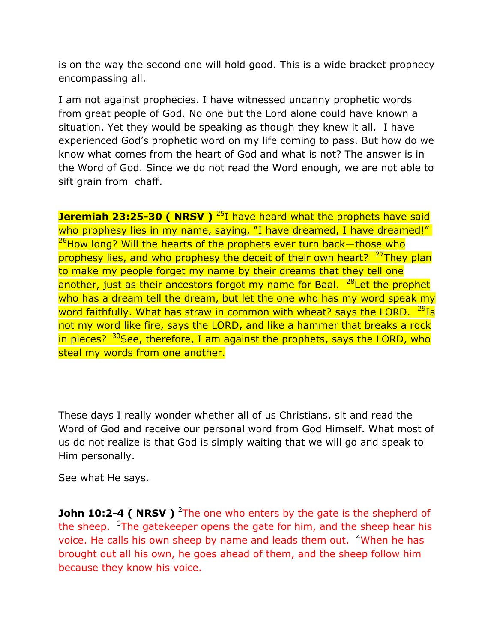is on the way the second one will hold good. This is a wide bracket prophecy encompassing all.

I am not against prophecies. I have witnessed uncanny prophetic words from great people of God. No one but the Lord alone could have known a situation. Yet they would be speaking as though they knew it all. I have experienced God's prophetic word on my life coming to pass. But how do we know what comes from the heart of God and what is not? The answer is in the Word of God. Since we do not read the Word enough, we are not able to sift grain from chaff.

**Jeremiah 23:25-30 ( NRSV )** <sup>25</sup>I have heard what the prophets have said who prophesy lies in my name, saying, "I have dreamed, I have dreamed!"  $^{26}$ How long? Will the hearts of the prophets ever turn back—those who prophesy lies, and who prophesy the deceit of their own heart?  $27$ They plan to make my people forget my name by their dreams that they tell one another, just as their ancestors forgot my name for Baal.  $^{28}$ Let the prophet who has a dream tell the dream, but let the one who has my word speak my word faithfully. What has straw in common with wheat? says the LORD.  $^{29}$ Is not my word like fire, says the LORD, and like a hammer that breaks a rock in pieces? <sup>30</sup>See, therefore, I am against the prophets, says the LORD, who steal my words from one another.

These days I really wonder whether all of us Christians, sit and read the Word of God and receive our personal word from God Himself. What most of us do not realize is that God is simply waiting that we will go and speak to Him personally.

See what He says.

**John 10:2-4 ( NRSV** ) <sup>2</sup>The one who enters by the gate is the shepherd of the sheep.  $3\text{The gate}$  keeper opens the gate for him, and the sheep hear his voice. He calls his own sheep by name and leads them out. <sup>4</sup>When he has brought out all his own, he goes ahead of them, and the sheep follow him because they know his voice.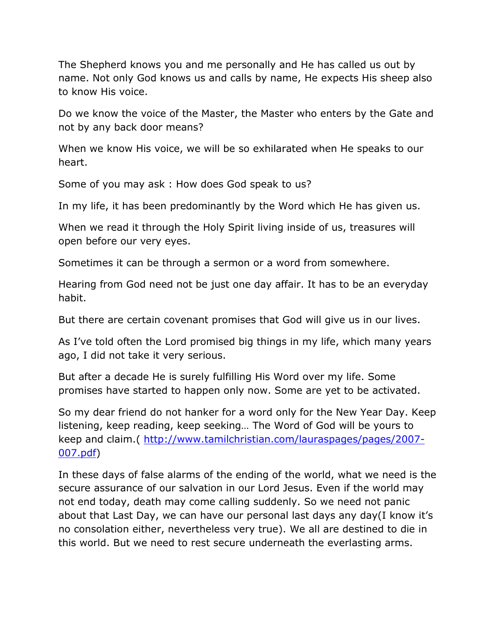The Shepherd knows you and me personally and He has called us out by name. Not only God knows us and calls by name, He expects His sheep also to know His voice.

Do we know the voice of the Master, the Master who enters by the Gate and not by any back door means?

When we know His voice, we will be so exhilarated when He speaks to our heart.

Some of you may ask : How does God speak to us?

In my life, it has been predominantly by the Word which He has given us.

When we read it through the Holy Spirit living inside of us, treasures will open before our very eyes.

Sometimes it can be through a sermon or a word from somewhere.

Hearing from God need not be just one day affair. It has to be an everyday habit.

But there are certain covenant promises that God will give us in our lives.

As I've told often the Lord promised big things in my life, which many years ago, I did not take it very serious.

But after a decade He is surely fulfilling His Word over my life. Some promises have started to happen only now. Some are yet to be activated.

So my dear friend do not hanker for a word only for the New Year Day. Keep listening, keep reading, keep seeking… The Word of God will be yours to keep and claim.( [http://www.tamilchristian.com/lauraspages/pages/2007-](http://www.tamilchristian.com/lauraspages/pages/2007-007.pdf) [007.pdf\)](http://www.tamilchristian.com/lauraspages/pages/2007-007.pdf)

In these days of false alarms of the ending of the world, what we need is the secure assurance of our salvation in our Lord Jesus. Even if the world may not end today, death may come calling suddenly. So we need not panic about that Last Day, we can have our personal last days any day(I know it's no consolation either, nevertheless very true). We all are destined to die in this world. But we need to rest secure underneath the everlasting arms.